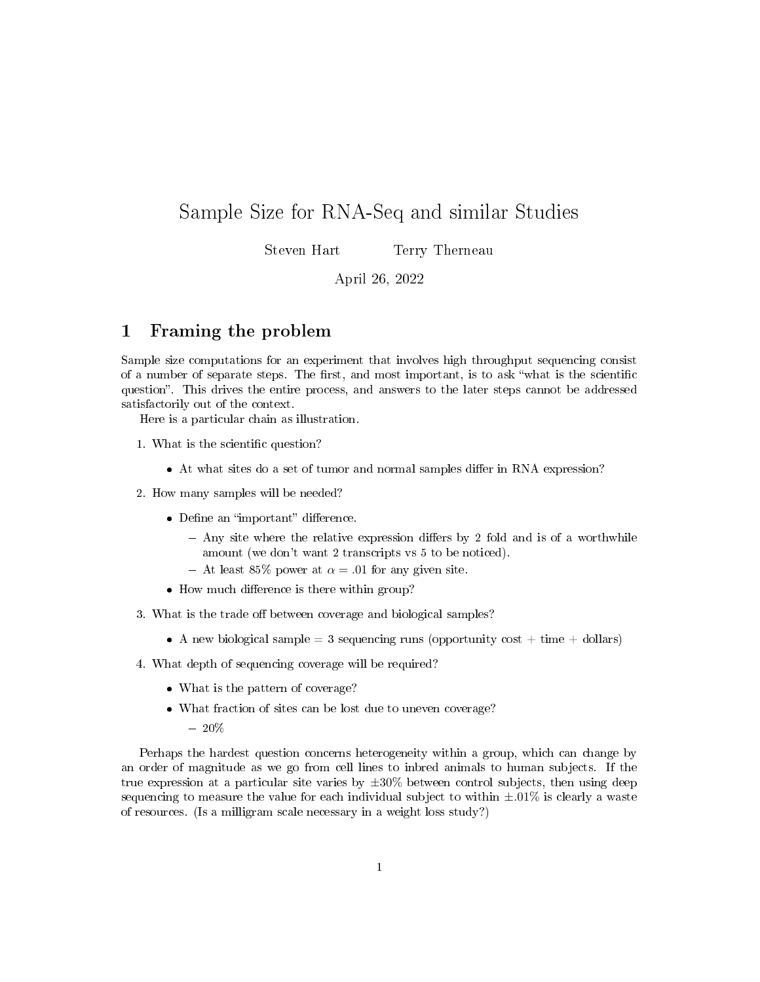# Sample Size for RNA-Seq and similar Studies

Steven Hart Terry Therneau

April 26, 2022

### 1 Framing the problem

Sample size computations for an experiment that involves high throughput sequencing consist of a number of separate steps. The first, and most important, is to ask "what is the scientific question". This drives the entire process, and answers to the later steps cannot be addressed satisfactorily out of the context.

Here is a particular chain as illustration.

- 1. What is the scientific question?
	- At what sites do a set of tumor and normal samples differ in RNA expression?
- 2. How many samples will be needed?
	- $\bullet$  Define an "important" difference.
		- $-$  Any site where the relative expression differs by 2 fold and is of a worthwhile amount (we don't want 2 transcripts vs 5 to be noticed).
		- At least 85% power at  $\alpha = .01$  for any given site.
	- How much difference is there within group?
- 3. What is the trade off between coverage and biological samples?
	- A new biological sample = 3 sequencing runs (opportunity cost  $+$  time  $+$  dollars)
- 4. What depth of sequencing coverage will be required?
	- What is the pattern of coverage?
	- What fraction of sites can be lost due to uneven coverage?
		- $-20%$

Perhaps the hardest question concerns heterogeneity within a group, which can change by an order of magnitude as we go from cell lines to inbred animals to human subjects. If the true expression at a particular site varies by  $\pm 30\%$  between control subjects, then using deep sequencing to measure the value for each individual subject to within  $\pm .01\%$  is clearly a waste of resources. (Is a milligram scale necessary in a weight loss study?)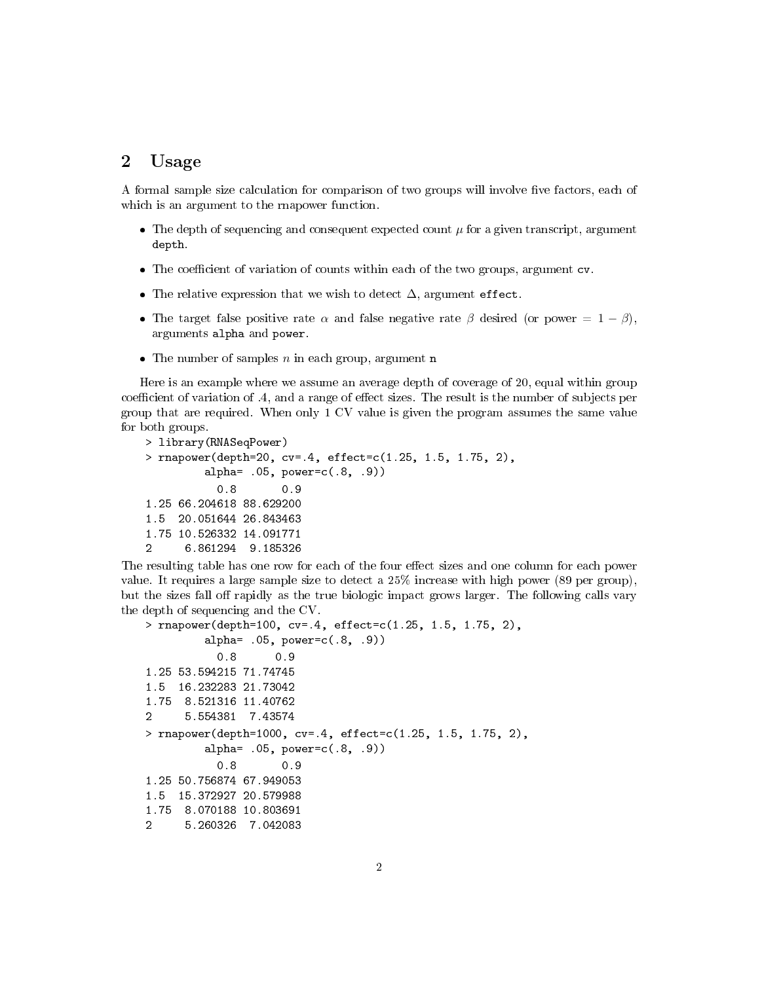#### 2 Usage

A formal sample size calculation for comparison of two groups will involve five factors, each of which is an argument to the rnapower function.

- The depth of sequencing and consequent expected count  $\mu$  for a given transcript, argument depth.
- The coefficient of variation of counts within each of the two groups, argument  $cv$ .
- The relative expression that we wish to detect  $\Delta$ , argument effect.
- The target false positive rate  $\alpha$  and false negative rate  $\beta$  desired (or power = 1  $\beta$ ), arguments alpha and power.
- The number of samples  $n$  in each group, argument **n**

Here is an example where we assume an average depth of coverage of 20, equal within group coefficient of variation of .4, and a range of effect sizes. The result is the number of subjects per group that are required. When only 1 CV value is given the program assumes the same value for both groups.

```
> library(RNASeqPower)
> rnapower(depth=20, cv=.4, effect=c(1.25, 1.5, 1.75, 2),
        alpha= .05, power=c(.8, .9))
          0.8 0.9
1.25 66.204618 88.629200
1.5 20.051644 26.843463
1.75 10.526332 14.091771
2 6.861294 9.185326
```
The resulting table has one row for each of the four effect sizes and one column for each power value. It requires a large sample size to detect a 25% increase with high power (89 per group), but the sizes fall off rapidly as the true biologic impact grows larger. The following calls vary the depth of sequencing and the CV.

```
> rnapower(depth=100, cv=.4, effect=c(1.25, 1.5, 1.75, 2),
         alpha= .05, power=c(.8, .9))
          0.8 0.9
1.25 53.594215 71.74745
1.5 16.232283 21.73042
1.75 8.521316 11.40762
2 5.554381 7.43574
> rnapower(depth=1000, cv=.4, effect=c(1.25, 1.5, 1.75, 2),
        alpha= .05, power=c(.8, .9))
          0.8 0.9
1.25 50.756874 67.949053
1.5 15.372927 20.579988
1.75 8.070188 10.803691
     2 5.260326 7.042083
```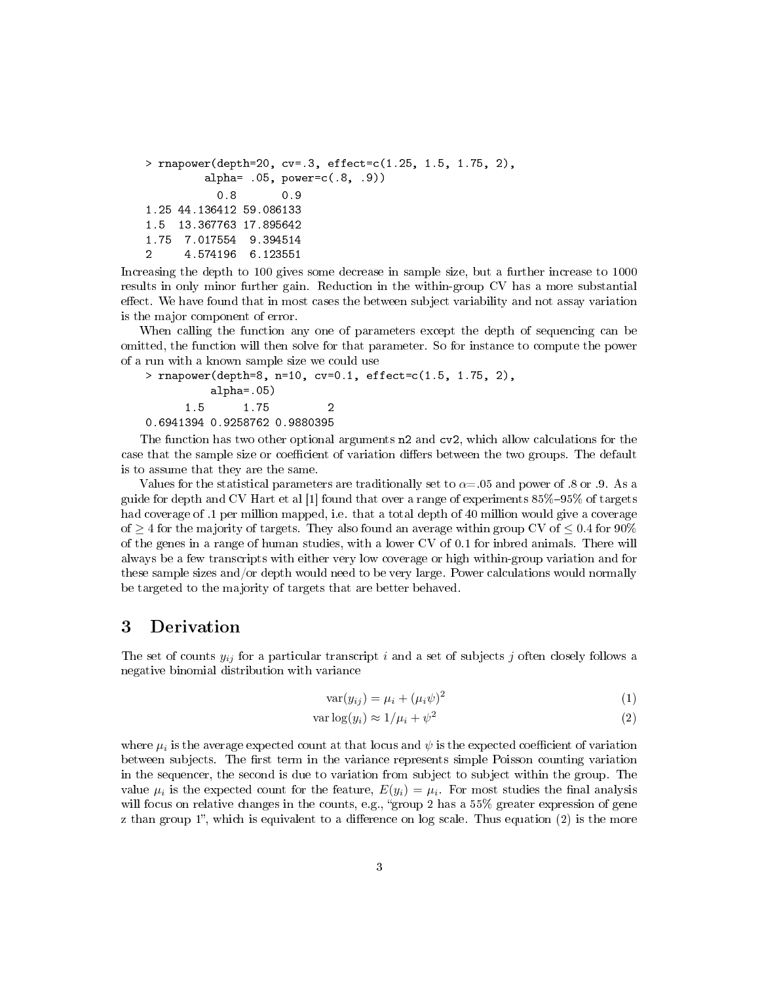```
> rnapower(depth=20, cv=.3, effect=c(1.25, 1.5, 1.75, 2),
        alpha= .05, power=c(.8, .9))
          0.8 0.9
1.25 44.136412 59.086133
1.5 13.367763 17.895642
1.75 7.017554 9.394514
2 4.574196 6.123551
```
Increasing the depth to 100 gives some decrease in sample size, but a further increase to 1000 results in only minor further gain. Reduction in the within-group CV has a more substantial effect. We have found that in most cases the between subject variability and not assay variation is the major component of error.

When calling the function any one of parameters except the depth of sequencing can be omitted, the function will then solve for that parameter. So for instance to compute the power of a run with a known sample size we could use

> rnapower(depth=8, n=10, cv=0.1, effect=c(1.5, 1.75, 2), alpha=.05) 1.5 1.75 2 0.6941394 0.9258762 0.9880395

The function has two other optional arguments n2 and cv2, which allow calculations for the case that the sample size or coefficient of variation differs between the two groups. The default is to assume that they are the same.

Values for the statistical parameters are traditionally set to  $\alpha = 0.05$  and power of .8 or .9. As a guide for depth and CV Hart et al [1] found that over a range of experiments  $85\% - 95\%$  of targets had coverage of .1 per million mapped, i.e. that a total depth of 40 million would give a coverage of  $\geq 4$  for the majority of targets. They also found an average within group CV of  $\leq 0.4$  for 90% of the genes in a range of human studies, with a lower CV of 0.1 for inbred animals. There will always be a few transcripts with either very low coverage or high within-group variation and for these sample sizes and/or depth would need to be very large. Power calculations would normally be targeted to the majority of targets that are better behaved.

#### 3 Derivation

The set of counts  $y_{ij}$  for a particular transcript i and a set of subjects j often closely follows a negative binomial distribution with variance

$$
\text{var}(y_{ij}) = \mu_i + (\mu_i \psi)^2 \tag{1}
$$

$$
\text{var}\log(y_i) \approx 1/\mu_i + \psi^2 \tag{2}
$$

where  $\mu_i$  is the average expected count at that locus and  $\psi$  is the expected coefficient of variation between subjects. The first term in the variance represents simple Poisson counting variation in the sequencer, the second is due to variation from subject to subject within the group. The value  $\mu_i$  is the expected count for the feature,  $E(y_i) = \mu_i$ . For most studies the final analysis will focus on relative changes in the counts, e.g., "group 2 has a  $55\%$  greater expression of gene z than group 1", which is equivalent to a difference on log scale. Thus equation  $(2)$  is the more